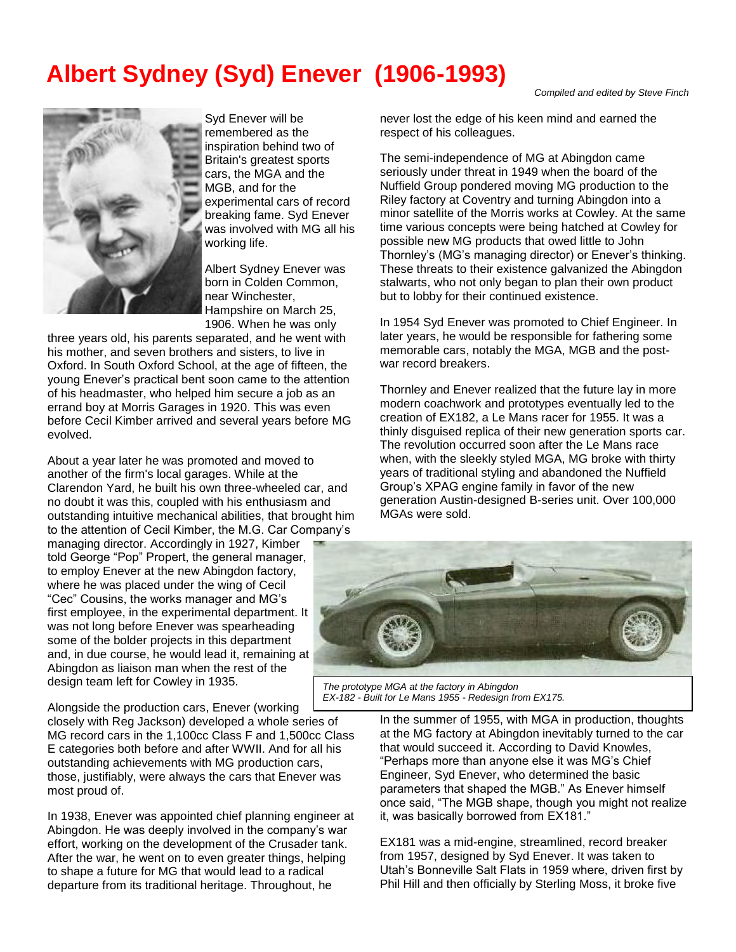## **Albert Sydney (Syd) Enever (1906-1993)**



Syd Enever will be remembered as the inspiration behind two of Britain's greatest sports cars, the MGA and the MGB, and for the experimental cars of record breaking fame. Syd Enever was involved with MG all his working life.

Albert Sydney Enever was born in Colden Common, near Winchester, Hampshire on March 25, 1906. When he was only

three years old, his parents separated, and he went with his mother, and seven brothers and sisters, to live in Oxford. In South Oxford School, at the age of fifteen, the young Enever's practical bent soon came to the attention of his headmaster, who helped him secure a job as an errand boy at Morris Garages in 1920. This was even before Cecil Kimber arrived and several years before MG evolved.

About a year later he was promoted and moved to another of the firm's local garages. While at the Clarendon Yard, he built his own three-wheeled car, and no doubt it was this, coupled with his enthusiasm and outstanding intuitive mechanical abilities, that brought him to the attention of Cecil Kimber, the M.G. Car Company's

managing director. Accordingly in 1927, Kimber told George "Pop" Propert, the general manager, to employ Enever at the new Abingdon factory, where he was placed under the wing of Cecil "Cec" Cousins, the works manager and MG's first employee, in the experimental department. It was not long before Enever was spearheading some of the bolder projects in this department and, in due course, he would lead it, remaining at Abingdon as liaison man when the rest of the design team left for Cowley in 1935.

Alongside the production cars, Enever (working

closely with Reg Jackson) developed a whole series of MG record cars in the 1,100cc Class F and 1,500cc Class E categories both before and after WWII. And for all his outstanding achievements with MG production cars, those, justifiably, were always the cars that Enever was most proud of.

In 1938, Enever was appointed chief planning engineer at Abingdon. He was deeply involved in the company's war effort, working on the development of the Crusader tank. After the war, he went on to even greater things, helping to shape a future for MG that would lead to a radical departure from its traditional heritage. Throughout, he

*Compiled and edited by Steve Finch* 

never lost the edge of his keen mind and earned the respect of his colleagues.

The semi-independence of MG at Abingdon came seriously under threat in 1949 when the board of the Nuffield Group pondered moving MG production to the Riley factory at Coventry and turning Abingdon into a minor satellite of the Morris works at Cowley. At the same time various concepts were being hatched at Cowley for possible new MG products that owed little to John Thornley's (MG's managing director) or Enever's thinking. These threats to their existence galvanized the Abingdon stalwarts, who not only began to plan their own product but to lobby for their continued existence.

In 1954 Syd Enever was promoted to Chief Engineer. In later years, he would be responsible for fathering some memorable cars, notably the MGA, MGB and the postwar record breakers.

Thornley and Enever realized that the future lay in more modern coachwork and prototypes eventually led to the creation of EX182, a Le Mans racer for 1955. It was a thinly disguised replica of their new generation sports car. The revolution occurred soon after the Le Mans race when, with the sleekly styled MGA, MG broke with thirty years of traditional styling and abandoned the Nuffield Group's XPAG engine family in favor of the new generation Austin-designed B-series unit. Over 100,000 MGAs were sold.



*The prototype MGA at the factory in Abingdon EX-182 - Built for Le Mans 1955 - Redesign from EX175.* 

In the summer of 1955, with MGA in production, thoughts at the MG factory at Abingdon inevitably turned to the car that would succeed it. According to David Knowles, "Perhaps more than anyone else it was MG's Chief Engineer, Syd Enever, who determined the basic parameters that shaped the MGB." As Enever himself once said, "The MGB shape, though you might not realize it, was basically borrowed from EX181."

EX181 was a mid-engine, streamlined, record breaker from 1957, designed by Syd Enever. It was taken to Utah's Bonneville Salt Flats in 1959 where, driven first by Phil Hill and then officially by Sterling Moss, it broke five